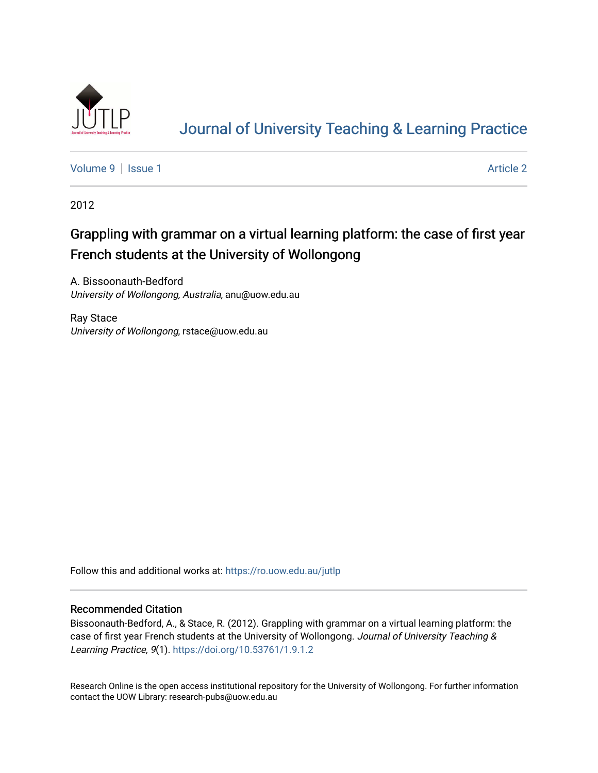

# [Journal of University Teaching & Learning Practice](https://ro.uow.edu.au/jutlp)

[Volume 9](https://ro.uow.edu.au/jutlp/vol9) | [Issue 1](https://ro.uow.edu.au/jutlp/vol9/iss1) Article 2

2012

# Grappling with grammar on a virtual learning platform: the case of first year French students at the University of Wollongong

A. Bissoonauth-Bedford University of Wollongong, Australia, anu@uow.edu.au

Ray Stace University of Wollongong, rstace@uow.edu.au

Follow this and additional works at: [https://ro.uow.edu.au/jutlp](https://ro.uow.edu.au/jutlp?utm_source=ro.uow.edu.au%2Fjutlp%2Fvol9%2Fiss1%2F2&utm_medium=PDF&utm_campaign=PDFCoverPages) 

# Recommended Citation

Bissoonauth-Bedford, A., & Stace, R. (2012). Grappling with grammar on a virtual learning platform: the case of first year French students at the University of Wollongong. Journal of University Teaching & Learning Practice, 9(1).<https://doi.org/10.53761/1.9.1.2>

Research Online is the open access institutional repository for the University of Wollongong. For further information contact the UOW Library: research-pubs@uow.edu.au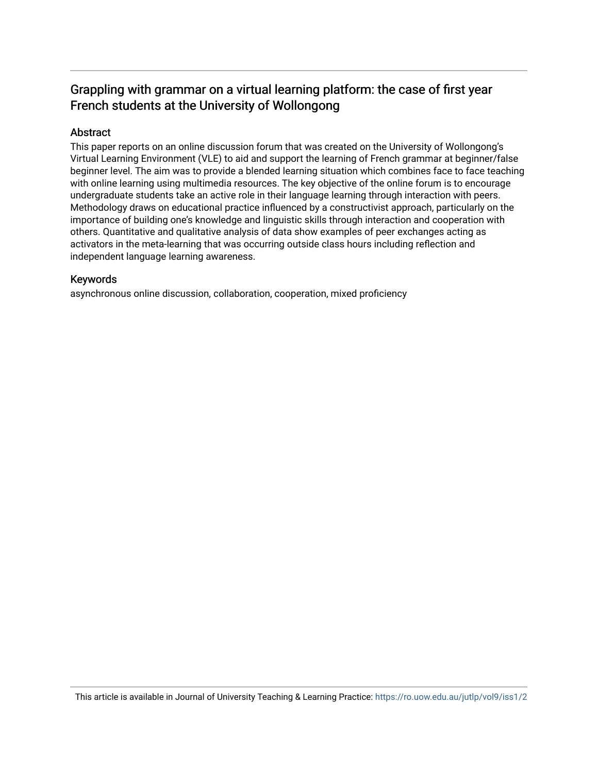# Grappling with grammar on a virtual learning platform: the case of first year French students at the University of Wollongong

# Abstract

This paper reports on an online discussion forum that was created on the University of Wollongong's Virtual Learning Environment (VLE) to aid and support the learning of French grammar at beginner/false beginner level. The aim was to provide a blended learning situation which combines face to face teaching with online learning using multimedia resources. The key objective of the online forum is to encourage undergraduate students take an active role in their language learning through interaction with peers. Methodology draws on educational practice influenced by a constructivist approach, particularly on the importance of building one's knowledge and linguistic skills through interaction and cooperation with others. Quantitative and qualitative analysis of data show examples of peer exchanges acting as activators in the meta-learning that was occurring outside class hours including reflection and independent language learning awareness.

# Keywords

asynchronous online discussion, collaboration, cooperation, mixed proficiency

This article is available in Journal of University Teaching & Learning Practice:<https://ro.uow.edu.au/jutlp/vol9/iss1/2>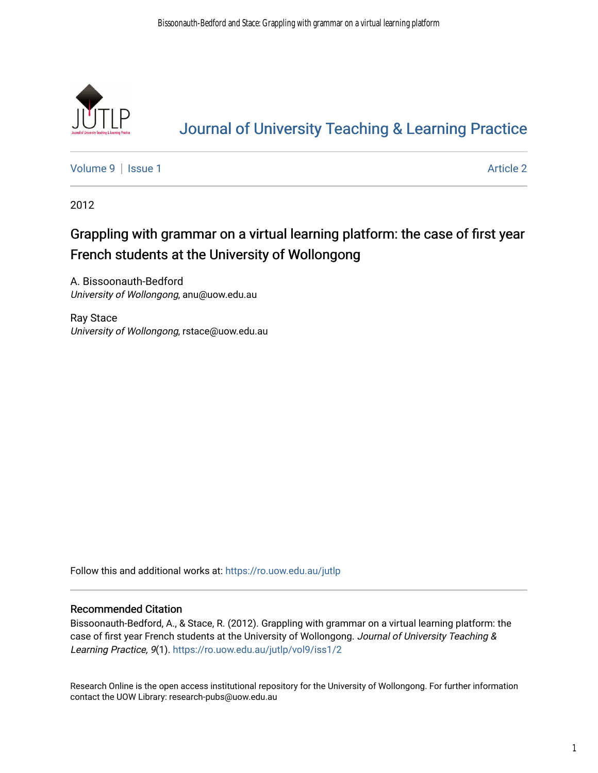

# [Journal of University Teaching & Learning Practice](https://ro.uow.edu.au/jutlp)

[Volume 9](https://ro.uow.edu.au/jutlp/vol9) | [Issue 1](https://ro.uow.edu.au/jutlp/vol9/iss1) Article 2

2012

# Grappling with grammar on a virtual learning platform: the case of first year French students at the University of Wollongong

A. Bissoonauth-Bedford University of Wollongong, anu@uow.edu.au

Ray Stace University of Wollongong, rstace@uow.edu.au

Follow this and additional works at: [https://ro.uow.edu.au/jutlp](https://ro.uow.edu.au/jutlp?utm_source=ro.uow.edu.au%2Fjutlp%2Fvol9%2Fiss1%2F2&utm_medium=PDF&utm_campaign=PDFCoverPages) 

# Recommended Citation

Bissoonauth-Bedford, A., & Stace, R. (2012). Grappling with grammar on a virtual learning platform: the case of first year French students at the University of Wollongong. Journal of University Teaching & Learning Practice, 9(1). [https://ro.uow.edu.au/jutlp/vol9/iss1/2](https://ro.uow.edu.au/jutlp/vol9/iss1/2?utm_source=ro.uow.edu.au%2Fjutlp%2Fvol9%2Fiss1%2F2&utm_medium=PDF&utm_campaign=PDFCoverPages)

Research Online is the open access institutional repository for the University of Wollongong. For further information contact the UOW Library: research-pubs@uow.edu.au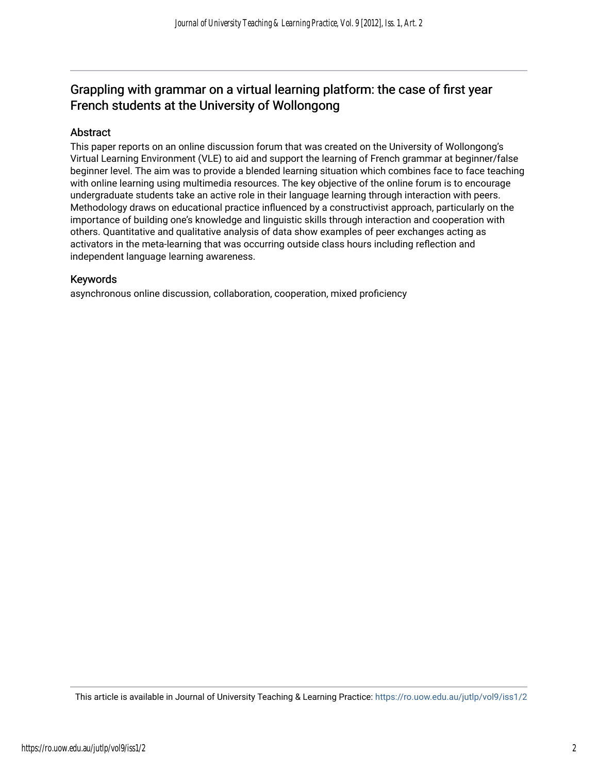# Grappling with grammar on a virtual learning platform: the case of first year French students at the University of Wollongong

# Abstract

This paper reports on an online discussion forum that was created on the University of Wollongong's Virtual Learning Environment (VLE) to aid and support the learning of French grammar at beginner/false beginner level. The aim was to provide a blended learning situation which combines face to face teaching with online learning using multimedia resources. The key objective of the online forum is to encourage undergraduate students take an active role in their language learning through interaction with peers. Methodology draws on educational practice influenced by a constructivist approach, particularly on the importance of building one's knowledge and linguistic skills through interaction and cooperation with others. Quantitative and qualitative analysis of data show examples of peer exchanges acting as activators in the meta-learning that was occurring outside class hours including reflection and independent language learning awareness.

# Keywords

asynchronous online discussion, collaboration, cooperation, mixed proficiency

This article is available in Journal of University Teaching & Learning Practice:<https://ro.uow.edu.au/jutlp/vol9/iss1/2>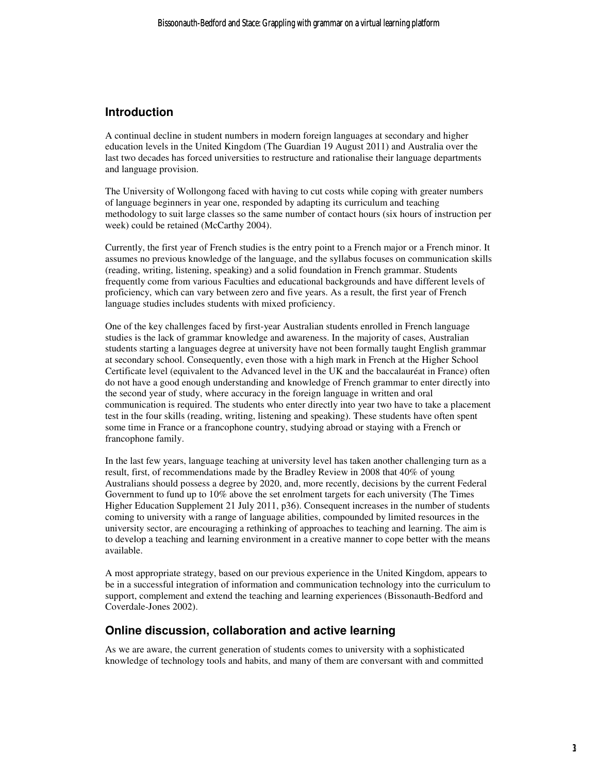# **Introduction**

A continual decline in student numbers in modern foreign languages at secondary and higher education levels in the United Kingdom (The Guardian 19 August 2011) and Australia over the last two decades has forced universities to restructure and rationalise their language departments and language provision.

The University of Wollongong faced with having to cut costs while coping with greater numbers of language beginners in year one, responded by adapting its curriculum and teaching methodology to suit large classes so the same number of contact hours (six hours of instruction per week) could be retained (McCarthy 2004).

Currently, the first year of French studies is the entry point to a French major or a French minor. It assumes no previous knowledge of the language, and the syllabus focuses on communication skills (reading, writing, listening, speaking) and a solid foundation in French grammar. Students frequently come from various Faculties and educational backgrounds and have different levels of proficiency, which can vary between zero and five years. As a result, the first year of French language studies includes students with mixed proficiency.

One of the key challenges faced by first-year Australian students enrolled in French language studies is the lack of grammar knowledge and awareness. In the majority of cases, Australian students starting a languages degree at university have not been formally taught English grammar at secondary school. Consequently, even those with a high mark in French at the Higher School Certificate level (equivalent to the Advanced level in the UK and the baccalauréat in France) often do not have a good enough understanding and knowledge of French grammar to enter directly into the second year of study, where accuracy in the foreign language in written and oral communication is required. The students who enter directly into year two have to take a placement test in the four skills (reading, writing, listening and speaking). These students have often spent some time in France or a francophone country, studying abroad or staying with a French or francophone family.

In the last few years, language teaching at university level has taken another challenging turn as a result, first, of recommendations made by the Bradley Review in 2008 that 40% of young Australians should possess a degree by 2020, and, more recently, decisions by the current Federal Government to fund up to 10% above the set enrolment targets for each university (The Times Higher Education Supplement 21 July 2011, p36). Consequent increases in the number of students coming to university with a range of language abilities, compounded by limited resources in the university sector, are encouraging a rethinking of approaches to teaching and learning. The aim is to develop a teaching and learning environment in a creative manner to cope better with the means available.

A most appropriate strategy, based on our previous experience in the United Kingdom, appears to be in a successful integration of information and communication technology into the curriculum to support, complement and extend the teaching and learning experiences (Bissonauth-Bedford and Coverdale-Jones 2002).

# **Online discussion, collaboration and active learning**

As we are aware, the current generation of students comes to university with a sophisticated knowledge of technology tools and habits, and many of them are conversant with and committed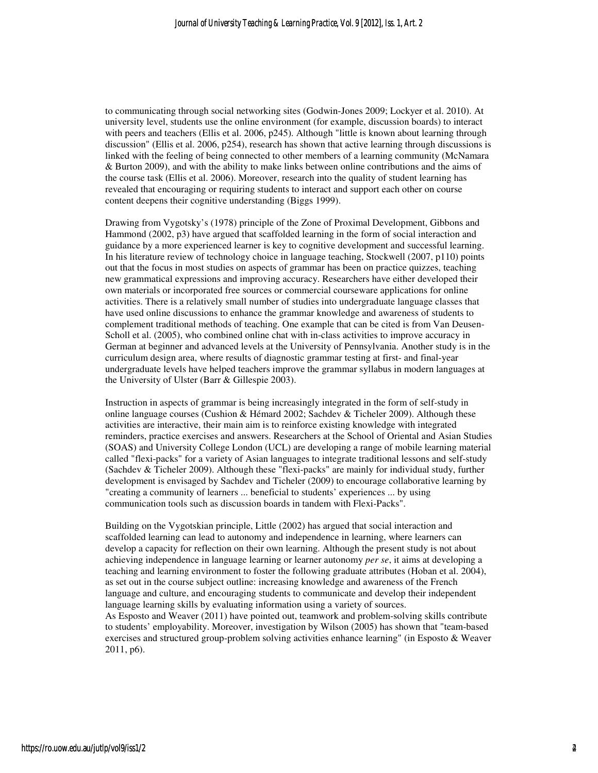to communicating through social networking sites (Godwin-Jones 2009; Lockyer et al. 2010). At university level, students use the online environment (for example, discussion boards) to interact with peers and teachers (Ellis et al. 2006, p245). Although "little is known about learning through discussion" (Ellis et al. 2006, p254), research has shown that active learning through discussions is linked with the feeling of being connected to other members of a learning community (McNamara & Burton 2009), and with the ability to make links between online contributions and the aims of the course task (Ellis et al. 2006). Moreover, research into the quality of student learning has revealed that encouraging or requiring students to interact and support each other on course content deepens their cognitive understanding (Biggs 1999).

Drawing from Vygotsky's (1978) principle of the Zone of Proximal Development, Gibbons and Hammond (2002, p3) have argued that scaffolded learning in the form of social interaction and guidance by a more experienced learner is key to cognitive development and successful learning. In his literature review of technology choice in language teaching, Stockwell (2007, p110) points out that the focus in most studies on aspects of grammar has been on practice quizzes, teaching new grammatical expressions and improving accuracy. Researchers have either developed their own materials or incorporated free sources or commercial courseware applications for online activities. There is a relatively small number of studies into undergraduate language classes that have used online discussions to enhance the grammar knowledge and awareness of students to complement traditional methods of teaching. One example that can be cited is from Van Deusen-Scholl et al. (2005), who combined online chat with in-class activities to improve accuracy in German at beginner and advanced levels at the University of Pennsylvania. Another study is in the curriculum design area, where results of diagnostic grammar testing at first- and final-year undergraduate levels have helped teachers improve the grammar syllabus in modern languages at the University of Ulster (Barr & Gillespie 2003).

Instruction in aspects of grammar is being increasingly integrated in the form of self-study in online language courses (Cushion & Hémard 2002; Sachdev & Ticheler 2009). Although these activities are interactive, their main aim is to reinforce existing knowledge with integrated reminders, practice exercises and answers. Researchers at the School of Oriental and Asian Studies (SOAS) and University College London (UCL) are developing a range of mobile learning material called "flexi-packs" for a variety of Asian languages to integrate traditional lessons and self-study (Sachdev & Ticheler 2009). Although these "flexi-packs" are mainly for individual study, further development is envisaged by Sachdev and Ticheler (2009) to encourage collaborative learning by "creating a community of learners ... beneficial to students' experiences ... by using communication tools such as discussion boards in tandem with Flexi-Packs".

Building on the Vygotskian principle, Little (2002) has argued that social interaction and scaffolded learning can lead to autonomy and independence in learning, where learners can develop a capacity for reflection on their own learning. Although the present study is not about achieving independence in language learning or learner autonomy *per se*, it aims at developing a teaching and learning environment to foster the following graduate attributes (Hoban et al. 2004), as set out in the course subject outline: increasing knowledge and awareness of the French language and culture, and encouraging students to communicate and develop their independent language learning skills by evaluating information using a variety of sources. As Esposto and Weaver (2011) have pointed out, teamwork and problem-solving skills contribute to students' employability. Moreover, investigation by Wilson (2005) has shown that "team-based exercises and structured group-problem solving activities enhance learning" (in Esposto & Weaver 2011, p6).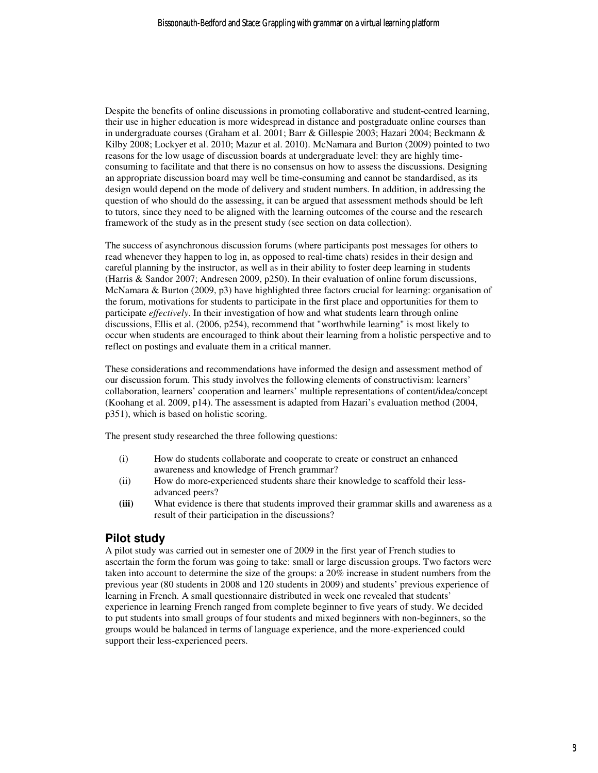Despite the benefits of online discussions in promoting collaborative and student-centred learning, their use in higher education is more widespread in distance and postgraduate online courses than in undergraduate courses (Graham et al. 2001; Barr & Gillespie 2003; Hazari 2004; Beckmann & Kilby 2008; Lockyer et al. 2010; Mazur et al. 2010). McNamara and Burton (2009) pointed to two reasons for the low usage of discussion boards at undergraduate level: they are highly timeconsuming to facilitate and that there is no consensus on how to assess the discussions. Designing an appropriate discussion board may well be time-consuming and cannot be standardised, as its design would depend on the mode of delivery and student numbers. In addition, in addressing the question of who should do the assessing, it can be argued that assessment methods should be left to tutors, since they need to be aligned with the learning outcomes of the course and the research framework of the study as in the present study (see section on data collection).

The success of asynchronous discussion forums (where participants post messages for others to read whenever they happen to log in, as opposed to real-time chats) resides in their design and careful planning by the instructor, as well as in their ability to foster deep learning in students (Harris & Sandor 2007; Andresen 2009, p250). In their evaluation of online forum discussions, McNamara & Burton (2009, p3) have highlighted three factors crucial for learning: organisation of the forum, motivations for students to participate in the first place and opportunities for them to participate *effectively*. In their investigation of how and what students learn through online discussions, Ellis et al. (2006, p254), recommend that "worthwhile learning" is most likely to occur when students are encouraged to think about their learning from a holistic perspective and to reflect on postings and evaluate them in a critical manner.

These considerations and recommendations have informed the design and assessment method of our discussion forum. This study involves the following elements of constructivism: learners' collaboration, learners' cooperation and learners' multiple representations of content/idea/concept (Koohang et al. 2009, p14). The assessment is adapted from Hazari's evaluation method (2004, p351), which is based on holistic scoring.

The present study researched the three following questions:

- (i) How do students collaborate and cooperate to create or construct an enhanced awareness and knowledge of French grammar?
- (ii) How do more-experienced students share their knowledge to scaffold their lessadvanced peers?
- **(iii)** What evidence is there that students improved their grammar skills and awareness as a result of their participation in the discussions?

# **Pilot study**

A pilot study was carried out in semester one of 2009 in the first year of French studies to ascertain the form the forum was going to take: small or large discussion groups. Two factors were taken into account to determine the size of the groups: a 20% increase in student numbers from the previous year (80 students in 2008 and 120 students in 2009) and students' previous experience of learning in French. A small questionnaire distributed in week one revealed that students' experience in learning French ranged from complete beginner to five years of study. We decided to put students into small groups of four students and mixed beginners with non-beginners, so the groups would be balanced in terms of language experience, and the more-experienced could support their less-experienced peers.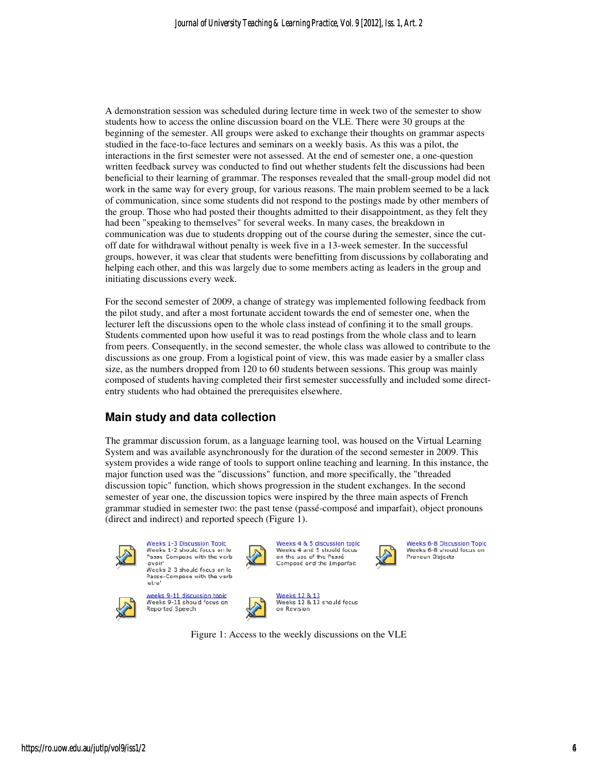A demonstration session was scheduled during lecture time in week two of the semester to show students how to access the online discussion board on the VLE. There were 30 groups at the beginning of the semester. All groups were asked to exchange their thoughts on grammar aspects studied in the face-to-face lectures and seminars on a weekly basis. As this was a pilot, the studied in the face-to-face lectures and seminars on a weekly basis. As this was a pilot, the interactions in the first semester were not assessed. At the end of semester one, a one-question A demonstration session was scheduled during lecture time in week two of the semester to show students how to access the online discussion board on the VLE. There were 30 groups at the beginning of the semester. All groups beneficial to their learning of grammar. The responses revealed that the small-group model did not work in the same way for every group, for various reasons. The main problem seemed to be a lack work in the same way for every group, for various reasons. The main problem seemed to of communication, since some students did not respond to the postings made by other members of of communication, since some students did not respond to the postings made by other members of the group. Those who had posted their thoughts admitted to their disappointment, as they felt they had been "speaking to themselves" for several weeks. In many cases, the breakdown in communication was due to students dropping out of the course during the semester, since t off date for withdrawal without penalty is week five in a 13-week semester. In the successful groups, however, it was clear that students were benefitting from discussions by collaborating and helping each other, and this was largely due to some members acting as leaders in the group and initiating discussions every week. their thoughts admitted to their disappointment, as they felt they<br>for several weeks. In many cases, the breakdown in<br>dropping out of the course during the semester, since the cutweek semester. In the successful<br>from discussions by collaborating<br>rs acting as leaders in the group ar<br>mplemented following feedback fr<br>he end of semester one, when the

For the second semester of 2009, a change of strategy was implemented following feedback from the pilot study, and after a most fortunate accident towards the end of semester one, when lecturer left the discussions open to the whole class instead of confining it to the small groups. Students commented upon how useful it was to read postings from the whole class and to learn from peers. Consequently, in the second semester, the whole class was allowed to contribute to the discussions as one group. From a logistical point of view, this was made easier by a smaller class from peers. Consequently, in the second semester, the whole class was allowed to contribute to the discussions as one group. From a logistical point of view, this was made easier by a smaller class size, as the numbers dro composed of students having completed their first semester successfully and included some direct-<br>entry students who had obtained the prerequisites elsewhere. entry students who had obtained the prerequisites elsewhere.

# **Main study and data collection data collection**

The grammar discussion forum discussion forum, as a language learning tool, was housed on the Virtual Learning System and was available asynchronously for the duration of the second semester in 2009. This system provides a wide range of tools to support online teaching and learning. In this instance, the The grammar discussion forum, as a language learning tool, was housed on the Virtual LSystem and was available asynchronously for the duration of the second semester in 2009 system provides a wide range of tools to support discussion topic" function, which shows progression in the student exchanges. In the second semester of year one, the discussion topics were inspired by the three main aspects of French semester of year one, the discussion topics were inspired by the three main aspects of French grammar studied in semester two: the past tense (passé-composé and imparfait), object pronouns (direct and indirect) and reported speech (Figure 1).



<u> Weeks 1-3 Discussion Topic</u> Weeks 1-2 should focus on le Passe-Compose with the verb 'avoir' weeks 2-3 should focus on le Passe-Compose with the verb



etre

Reported Speech

weeks 9-11 discussion topic Weeks 9-11 should focus or



Weeks 4 & 5 discussion topic<br>Weeks 4 and 5 should focus on the use of the Passé Composé and the Imparfait



Weeks 6-8 Discussion Topic Weeks 6-8 should focus on Pronoun Objects

Weeks 12 & 13<br>Weeks 12 & 13 should focus on Revision

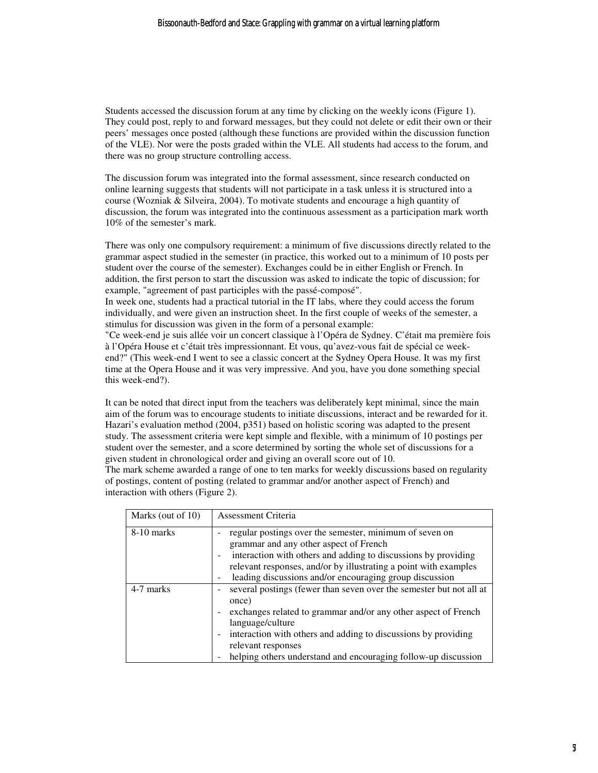Students accessed the discussion forum at any time by clicking on the weekly icons (Figure 1). They could post, reply to and forward messages, but they could not delete or edit their own or their peers' messages once posted (although these functions are provided within the discussion function of the VLE). Nor were the posts graded within the VLE. All students had access to the forum, and there was no group structure controlling access.

The discussion forum was integrated into the formal assessment, since research conducted on online learning suggests that students will not participate in a task unless it is structured into a course (Wozniak & Silveira, 2004). To motivate students and encourage a high quantity of discussion, the forum was integrated into the continuous assessment as a participation mark worth 10% of the semester's mark.

There was only one compulsory requirement: a minimum of five discussions directly related to the grammar aspect studied in the semester (in practice, this worked out to a minimum of 10 posts per student over the course of the semester). Exchanges could be in either English or French. In addition, the first person to start the discussion was asked to indicate the topic of discussion; for example, "agreement of past participles with the passé-composé".

In week one, students had a practical tutorial in the IT labs, where they could access the forum individually, and were given an instruction sheet. In the first couple of weeks of the semester, a stimulus for discussion was given in the form of a personal example:

"Ce week-end je suis allée voir un concert classique à l'Opéra de Sydney. C'était ma première fois à l'Opéra House et c'était très impressionnant. Et vous, qu'avez-vous fait de spécial ce weekend?" (This week-end I went to see a classic concert at the Sydney Opera House. It was my first time at the Opera House and it was very impressive. And you, have you done something special this week-end?).

It can be noted that direct input from the teachers was deliberately kept minimal, since the main aim of the forum was to encourage students to initiate discussions, interact and be rewarded for it. Hazari's evaluation method (2004, p351) based on holistic scoring was adapted to the present study. The assessment criteria were kept simple and flexible, with a minimum of 10 postings per student over the semester, and a score determined by sorting the whole set of discussions for a given student in chronological order and giving an overall score out of 10.

The mark scheme awarded a range of one to ten marks for weekly discussions based on regularity of postings, content of posting (related to grammar and/or another aspect of French) and interaction with others (Figure 2).

| Marks (out of 10) | Assessment Criteria                                                                                                                                                                                                                                                                                                          |
|-------------------|------------------------------------------------------------------------------------------------------------------------------------------------------------------------------------------------------------------------------------------------------------------------------------------------------------------------------|
| 8-10 marks        | regular postings over the semester, minimum of seven on<br>grammar and any other aspect of French<br>interaction with others and adding to discussions by providing<br>relevant responses, and/or by illustrating a point with examples<br>leading discussions and/or encouraging group discussion                           |
| 4-7 marks         | several postings (fewer than seven over the semester but not all at<br>once)<br>exchanges related to grammar and/or any other aspect of French<br>language/culture<br>interaction with others and adding to discussions by providing<br>relevant responses<br>helping others understand and encouraging follow-up discussion |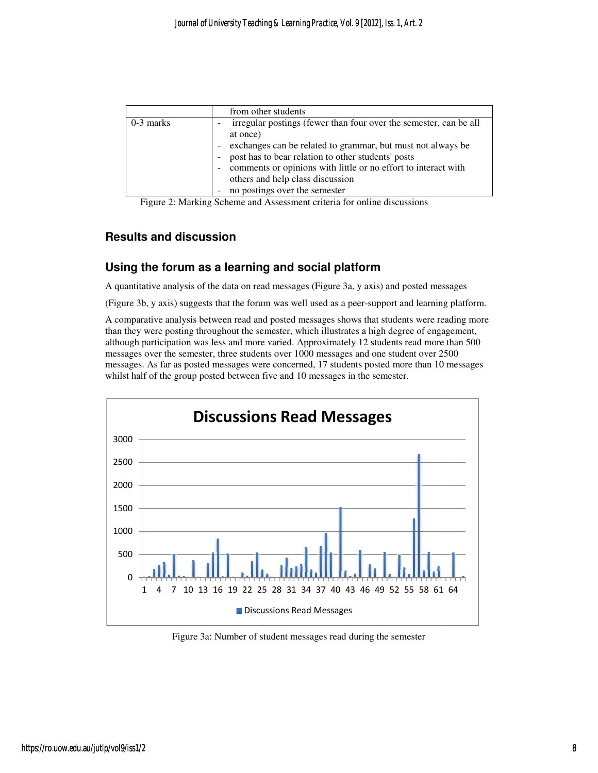|             | from other students                                                                           |
|-------------|-----------------------------------------------------------------------------------------------|
| $0-3$ marks | irregular postings (fewer than four over the semester, can be all<br>$\overline{\phantom{0}}$ |
|             | at once)                                                                                      |
|             | exchanges can be related to grammar, but must not always be                                   |
|             | post has to bear relation to other students' posts                                            |
|             | comments or opinions with little or no effort to interact with                                |
|             | others and help class discussion                                                              |
|             | no postings over the semester<br>۰                                                            |

Figure 2: Marking Scheme and Assessment criteria for online discussions

# **Results and discussion**

# Results and discussion<br>Using the forum as a learning and social platform

A quantitative analysis of the data on read messages (Figure 3a, y axis) and posted messages

(Figure 3b, y axis) suggests that the forum was well used as a peer-support and learning platform.

A comparative analysis between read and posted messages shows that students were reading more than they were posting throughout the semester, which illustrates a high degree of engagement although participation was less and more varied. Approximately 12 students read more than 500 messages over the semester, three students over 1000 messages and one student over 2500 messages. As far as posted messages were concerned, 17 students posted more than 10 messages whilst half of the group posted between five and 10 messages in the semester. sages (Figure 3a, y axis) and posted messages<br>well used as a peer-support and learning platform<br>d messages shows that students were reading mo<br>, which illustrates a high degree of engagement,



Figure 3a: Number of student messages read during the semester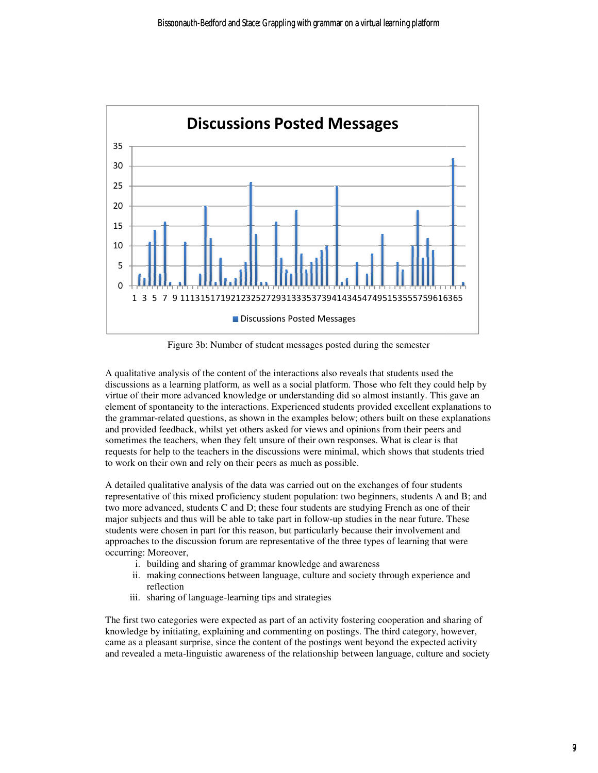

Figure 3b: Number of student messages posted during the semester

Figure 3b: Number of student messages posted during the semester<br>A qualitative analysis of the content of the interactions also reveals that students used the discussions as a learning platform platform, as well as a social platform. Those who felt they could help by virtue of their more advanced knowledge or understanding did so almost instantly. This gave an virtue of their more advanced knowledge or understanding did so almost instantly. This gave an element of spontaneity to the interactions. Experienced students provided excellent explanations to the grammar-related questions, as shown in the examples below; others built on these explanations and provided feedback, whilst yet others asked for views and opinions from their peers and sometimes the teachers, when they felt unsure of their own responses. What is clear is that requests for help to the teachers in the discussions were minimal, which shows that students tried to work on their own and rely on their peers as much as possible. requests for help to the teachers in the discussions were minimal, which shows that students tried<br>to work on their own and rely on their peers as much as possible.<br>A detailed qualitative analysis of the data was carried o nt of the interactions also reveals that students used the<br>as well as a social platform. Those who felt they could help by<br>wledge or understanding did so almost instantly. This gave an<br>actions. Experienced students provide 6365<br>
the uld h<br>
s gav<br>
plana<br>
s and that<br>
s and l<br>
the s and the wer<br>
ce ar<br>
shari:<br>
down the s<br>
distributed and l<br>
distributed and l<br>
distributed and l<br>
distributed and l<br>
distributed and l<br>
distributed and l<br>
and and l

representative of this mixed proficiency student population: two beginners, students A and B; and two more advanced, students C and D; these four students are studying French as one of their major subjects and thus will be able to take part in follow-up studies in the near future. These students were chosen in part for this reason, but particularly because their involvement and approaches to the discussion forum are representative of the three types of learning that were occurring: Moreover, ; these four students are studying French as one of their<br>the part in follow-up studies in the near future. These<br>eason, but particularly because their involvement and<br>e representative of the three types of learning that w

- i. building and sharing of grammar knowledge and awareness
- ii. making connections between language, culture and society through experience and reflection
- iii. sharing of language-learning tips and strategies

The first two categories were expected as part of an activity fostering cooperation and sharing of knowledge by initiating, explaining and commenting on postings. The third category, however, came as a pleasant surprise, since the content of the postings went beyond the expected activity and revealed a meta-linguistic awareness of the relationship between language, culture and society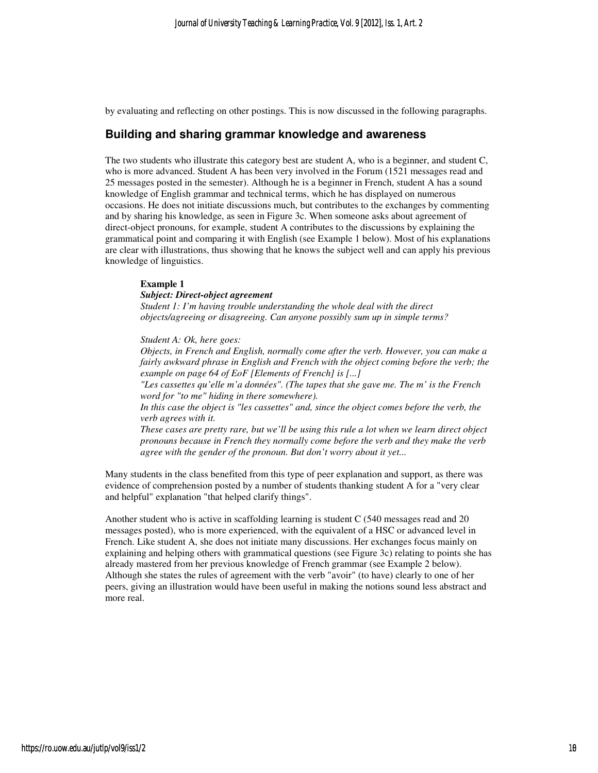by evaluating and reflecting on other postings. This is now discussed in the following paragraphs.

### **Building and sharing grammar knowledge and awareness**

The two students who illustrate this category best are student A, who is a beginner, and student C, who is more advanced. Student A has been very involved in the Forum (1521 messages read and 25 messages posted in the semester). Although he is a beginner in French, student A has a sound knowledge of English grammar and technical terms, which he has displayed on numerous occasions. He does not initiate discussions much, but contributes to the exchanges by commenting and by sharing his knowledge, as seen in Figure 3c. When someone asks about agreement of direct-object pronouns, for example, student A contributes to the discussions by explaining the grammatical point and comparing it with English (see Example 1 below). Most of his explanations are clear with illustrations, thus showing that he knows the subject well and can apply his previous knowledge of linguistics.

#### **Example 1**

#### *Subject: Direct-object agreement*

*Student 1: I'm having trouble understanding the whole deal with the direct objects/agreeing or disagreeing. Can anyone possibly sum up in simple terms?* 

#### *Student A: Ok, here goes:*

*Objects, in French and English, normally come after the verb. However, you can make a fairly awkward phrase in English and French with the object coming before the verb; the example on page 64 of EoF [Elements of French] is [...]* 

*"Les cassettes qu'elle m'a données". (The tapes that she gave me. The m' is the French word for "to me" hiding in there somewhere).* 

*In this case the object is "les cassettes" and, since the object comes before the verb, the verb agrees with it.* 

*These cases are pretty rare, but we'll be using this rule a lot when we learn direct object pronouns because in French they normally come before the verb and they make the verb agree with the gender of the pronoun. But don't worry about it yet...* 

Many students in the class benefited from this type of peer explanation and support, as there was evidence of comprehension posted by a number of students thanking student A for a "very clear and helpful" explanation "that helped clarify things".

Another student who is active in scaffolding learning is student C (540 messages read and 20 messages posted), who is more experienced, with the equivalent of a HSC or advanced level in French. Like student A, she does not initiate many discussions. Her exchanges focus mainly on explaining and helping others with grammatical questions (see Figure 3c) relating to points she has already mastered from her previous knowledge of French grammar (see Example 2 below). Although she states the rules of agreement with the verb "avoir" (to have) clearly to one of her peers, giving an illustration would have been useful in making the notions sound less abstract and more real.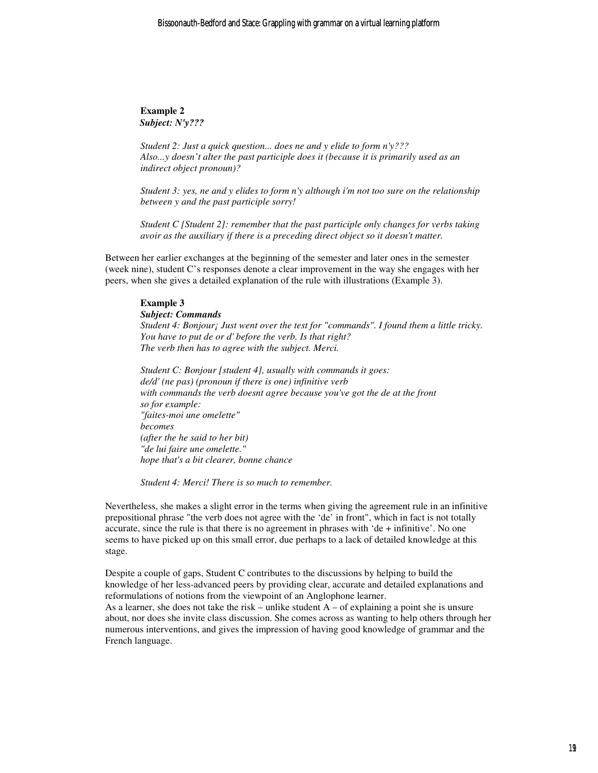**Example 2**  *Subject: N'y???* 

*Student 2: Just a quick question... does ne and y elide to form n'y??? Also...y doesn't alter the past participle does it (because it is primarily used as an indirect object pronoun)?* 

*Student 3: yes, ne and y elides to form n'y although i'm not too sure on the relationship between y and the past participle sorry!*

*Student C [Student 2]: remember that the past participle only changes for verbs taking avoir as the auxiliary if there is a preceding direct object so it doesn't matter.* 

Between her earlier exchanges at the beginning of the semester and later ones in the semester (week nine), student C's responses denote a clear improvement in the way she engages with her peers, when she gives a detailed explanation of the rule with illustrations (Example 3).

#### **Example 3**

*Subject: Commands Student 4: Bonjour¡ Just went over the test for "commands". I found them a little tricky. You have to put de or d' before the verb. Is that right? The verb then has to agree with the subject. Merci.* 

*Student C: Bonjour [student 4], usually with commands it goes: de/d' (ne pas) (pronoun if there is one) infinitive verb with commands the verb doesnt agree because you've got the de at the front so for example: "faites-moi une omelette" becomes (after the he said to her bit) "de lui faire une omelette." hope that's a bit clearer, bonne chance* 

*Student 4: Merci! There is so much to remember.* 

Nevertheless, she makes a slight error in the terms when giving the agreement rule in an infinitive prepositional phrase "the verb does not agree with the 'de' in front", which in fact is not totally accurate, since the rule is that there is no agreement in phrases with 'de  $+$  infinitive'. No one seems to have picked up on this small error, due perhaps to a lack of detailed knowledge at this stage.

Despite a couple of gaps, Student C contributes to the discussions by helping to build the knowledge of her less-advanced peers by providing clear, accurate and detailed explanations and reformulations of notions from the viewpoint of an Anglophone learner.

As a learner, she does not take the risk – unlike student  $A - of$  explaining a point she is unsure about, nor does she invite class discussion. She comes across as wanting to help others through her numerous interventions, and gives the impression of having good knowledge of grammar and the French language.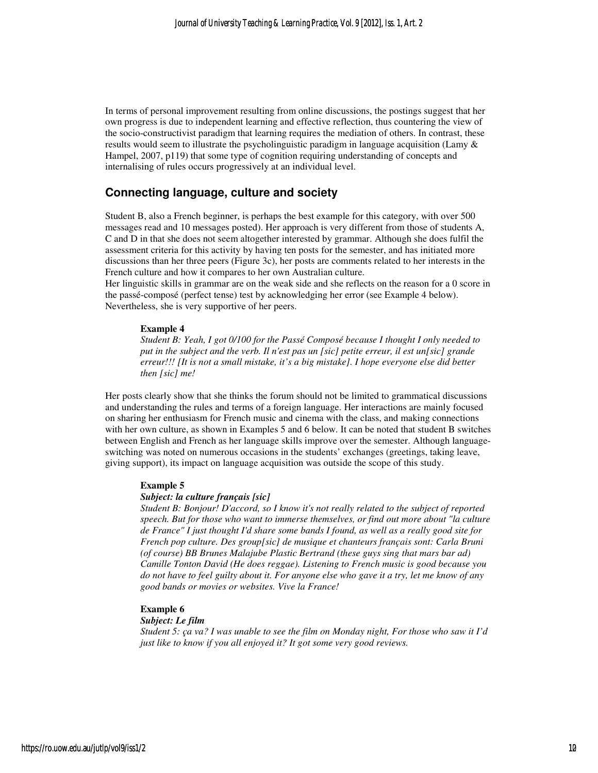In terms of personal improvement resulting from online discussions, the postings suggest that her own progress is due to independent learning and effective reflection, thus countering the view of the socio-constructivist paradigm that learning requires the mediation of others. In contrast, these results would seem to illustrate the psycholinguistic paradigm in language acquisition (Lamy & Hampel, 2007, p119) that some type of cognition requiring understanding of concepts and internalising of rules occurs progressively at an individual level.

# **Connecting language, culture and society**

Student B, also a French beginner, is perhaps the best example for this category, with over 500 messages read and 10 messages posted). Her approach is very different from those of students A, C and D in that she does not seem altogether interested by grammar. Although she does fulfil the assessment criteria for this activity by having ten posts for the semester, and has initiated more discussions than her three peers (Figure 3c), her posts are comments related to her interests in the French culture and how it compares to her own Australian culture.

Her linguistic skills in grammar are on the weak side and she reflects on the reason for a 0 score in the passé-composé (perfect tense) test by acknowledging her error (see Example 4 below). Nevertheless, she is very supportive of her peers.

#### **Example 4**

*Student B: Yeah, I got 0/100 for the Passé Composé because I thought I only needed to put in the subject and the verb. Il n'est pas un [sic] petite erreur, il est un[sic] grande erreur!!! [It is not a small mistake, it's a big mistake]. I hope everyone else did better then [sic] me!* 

Her posts clearly show that she thinks the forum should not be limited to grammatical discussions and understanding the rules and terms of a foreign language. Her interactions are mainly focused on sharing her enthusiasm for French music and cinema with the class, and making connections with her own culture, as shown in Examples 5 and 6 below. It can be noted that student B switches between English and French as her language skills improve over the semester. Although languageswitching was noted on numerous occasions in the students' exchanges (greetings, taking leave, giving support), its impact on language acquisition was outside the scope of this study.

#### **Example 5**

#### *Subject: la culture français [sic]*

*Student B: Bonjour! D'accord, so I know it's not really related to the subject of reported speech. But for those who want to immerse themselves, or find out more about "la culture de France" I just thought I'd share some bands I found, as well as a really good site for French pop culture. Des group[sic] de musique et chanteurs français sont: Carla Bruni (of course) BB Brunes Malajube Plastic Bertrand (these guys sing that mars bar ad) Camille Tonton David (He does reggae). Listening to French music is good because you do not have to feel guilty about it. For anyone else who gave it a try, let me know of any good bands or movies or websites. Vive la France!* 

#### **Example 6**

#### *Subject: Le film*

*Student 5: ça va? I was unable to see the film on Monday night, For those who saw it I'd just like to know if you all enjoyed it? It got some very good reviews.*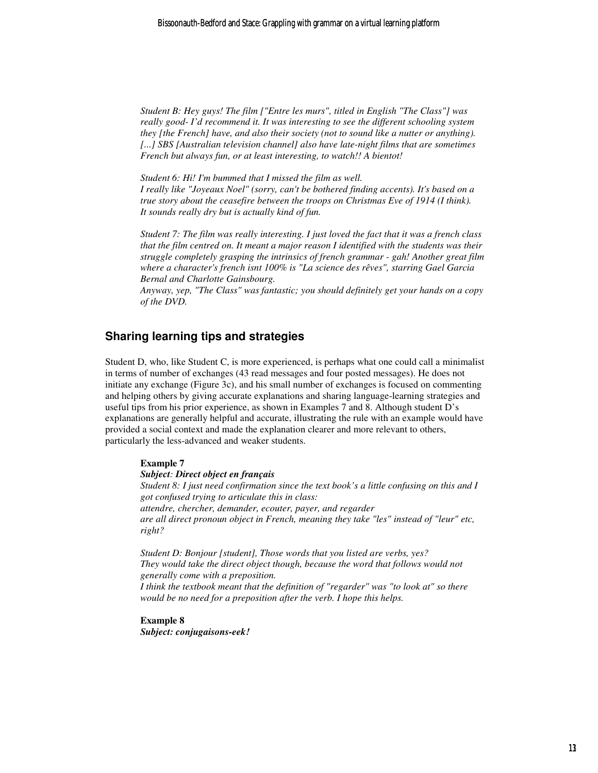*Student B: Hey guys! The film ["Entre les murs", titled in English "The Class"] was really good- I'd recommend it. It was interesting to see the different schooling system they [the French] have, and also their society (not to sound like a nutter or anything). [...] SBS [Australian television channel] also have late-night films that are sometimes French but always fun, or at least interesting, to watch!! A bientot!* 

*Student 6: Hi! I'm bummed that I missed the film as well. I really like "Joyeaux Noel" (sorry, can't be bothered finding accents). It's based on a true story about the ceasefire between the troops on Christmas Eve of 1914 (I think). It sounds really dry but is actually kind of fun.* 

*Student 7: The film was really interesting. I just loved the fact that it was a french class that the film centred on. It meant a major reason I identified with the students was their struggle completely grasping the intrinsics of french grammar - gah! Another great film where a character's french isnt 100% is "La science des rêves", starring Gael Garcia Bernal and Charlotte Gainsbourg.* 

*Anyway, yep, "The Class" was fantastic; you should definitely get your hands on a copy of the DVD.* 

# **Sharing learning tips and strategies**

Student D, who, like Student C, is more experienced, is perhaps what one could call a minimalist in terms of number of exchanges (43 read messages and four posted messages). He does not initiate any exchange (Figure 3c), and his small number of exchanges is focused on commenting and helping others by giving accurate explanations and sharing language-learning strategies and useful tips from his prior experience, as shown in Examples 7 and 8. Although student D's explanations are generally helpful and accurate, illustrating the rule with an example would have provided a social context and made the explanation clearer and more relevant to others, particularly the less-advanced and weaker students.

#### **Example 7**

#### *Subject: Direct object en français*

*Student 8: I just need confirmation since the text book's a little confusing on this and I got confused trying to articulate this in class: attendre, chercher, demander, ecouter, payer, and regarder are all direct pronoun object in French, meaning they take "les" instead of "leur" etc, right?* 

*Student D: Bonjour [student], Those words that you listed are verbs, yes? They would take the direct object though, because the word that follows would not generally come with a preposition.* 

*I think the textbook meant that the definition of "regarder" was "to look at" so there would be no need for a preposition after the verb. I hope this helps.* 

#### **Example 8**  *Subject: conjugaisons-eek!*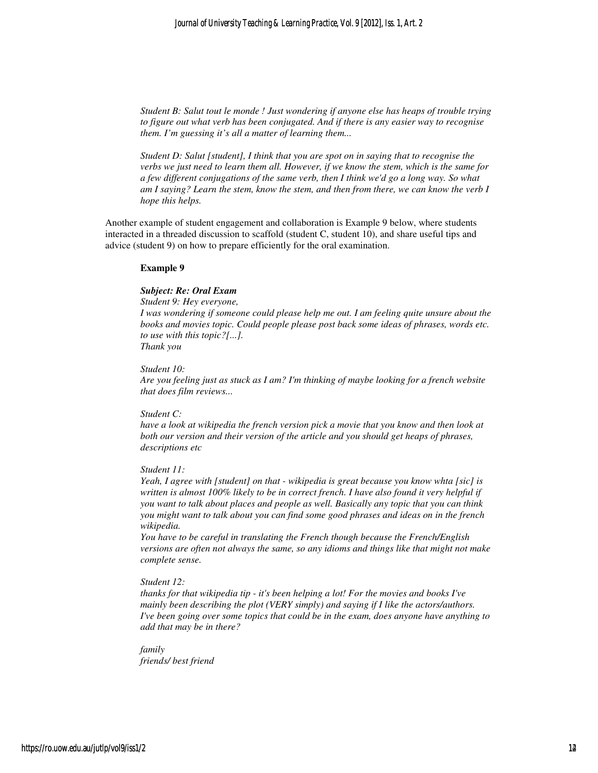*Student B: Salut tout le monde ! Just wondering if anyone else has heaps of trouble trying to figure out what verb has been conjugated. And if there is any easier way to recognise them. I'm guessing it's all a matter of learning them...* 

*Student D: Salut [student], I think that you are spot on in saying that to recognise the verbs we just need to learn them all. However, if we know the stem, which is the same for a few different conjugations of the same verb, then I think we'd go a long way. So what am I saying? Learn the stem, know the stem, and then from there, we can know the verb I hope this helps.* 

Another example of student engagement and collaboration is Example 9 below, where students interacted in a threaded discussion to scaffold (student C, student 10), and share useful tips and advice (student 9) on how to prepare efficiently for the oral examination.

#### **Example 9**

#### *Subject: Re: Oral Exam*

*Student 9: Hey everyone,* 

*I was wondering if someone could please help me out. I am feeling quite unsure about the books and movies topic. Could people please post back some ideas of phrases, words etc. to use with this topic?[...].* 

*Thank you*

*Student 10:* 

*Are you feeling just as stuck as I am? I'm thinking of maybe looking for a french website that does film reviews...* 

#### *Student C:*

*have a look at wikipedia the french version pick a movie that you know and then look at both our version and their version of the article and you should get heaps of phrases, descriptions etc* 

#### *Student 11:*

*Yeah, I agree with [student] on that - wikipedia is great because you know whta [sic] is written is almost 100% likely to be in correct french. I have also found it very helpful if you want to talk about places and people as well. Basically any topic that you can think you might want to talk about you can find some good phrases and ideas on in the french wikipedia.* 

*You have to be careful in translating the French though because the French/English versions are often not always the same, so any idioms and things like that might not make complete sense.* 

#### *Student 12:*

*thanks for that wikipedia tip - it's been helping a lot! For the movies and books I've mainly been describing the plot (VERY simply) and saying if I like the actors/authors. I've been going over some topics that could be in the exam, does anyone have anything to add that may be in there?* 

*family friends/ best friend*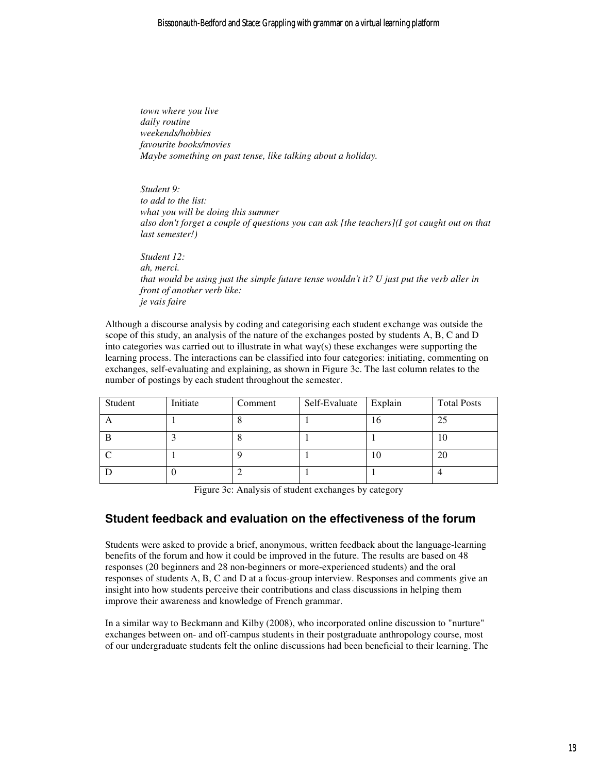*town where you live daily routine weekends/hobbies favourite books/movies Maybe something on past tense, like talking about a holiday.* 

*Student 9: to add to the list: what you will be doing this summer also don't forget a couple of questions you can ask [the teachers](I got caught out on that last semester!)* 

*Student 12: ah, merci. that would be using just the simple future tense wouldn't it? U just put the verb aller in front of another verb like: je vais faire* 

Although a discourse analysis by coding and categorising each student exchange was outside the scope of this study, an analysis of the nature of the exchanges posted by students A, B, C and D into categories was carried out to illustrate in what way(s) these exchanges were supporting the learning process. The interactions can be classified into four categories: initiating, commenting on exchanges, self-evaluating and explaining, as shown in Figure 3c. The last column relates to the number of postings by each student throughout the semester.

| Student | Initiate | Comment | Self-Evaluate | Explain | <b>Total Posts</b> |
|---------|----------|---------|---------------|---------|--------------------|
|         |          | O       |               | 16      | 25                 |
|         |          | $\circ$ |               |         | 10                 |
|         |          |         |               | 10      | 20                 |
|         |          |         |               |         |                    |

Figure 3c: Analysis of student exchanges by category

# **Student feedback and evaluation on the effectiveness of the forum**

Students were asked to provide a brief, anonymous, written feedback about the language-learning benefits of the forum and how it could be improved in the future. The results are based on 48 responses (20 beginners and 28 non-beginners or more-experienced students) and the oral responses of students A, B, C and D at a focus-group interview. Responses and comments give an insight into how students perceive their contributions and class discussions in helping them improve their awareness and knowledge of French grammar.

In a similar way to Beckmann and Kilby (2008), who incorporated online discussion to "nurture" exchanges between on- and off-campus students in their postgraduate anthropology course, most of our undergraduate students felt the online discussions had been beneficial to their learning. The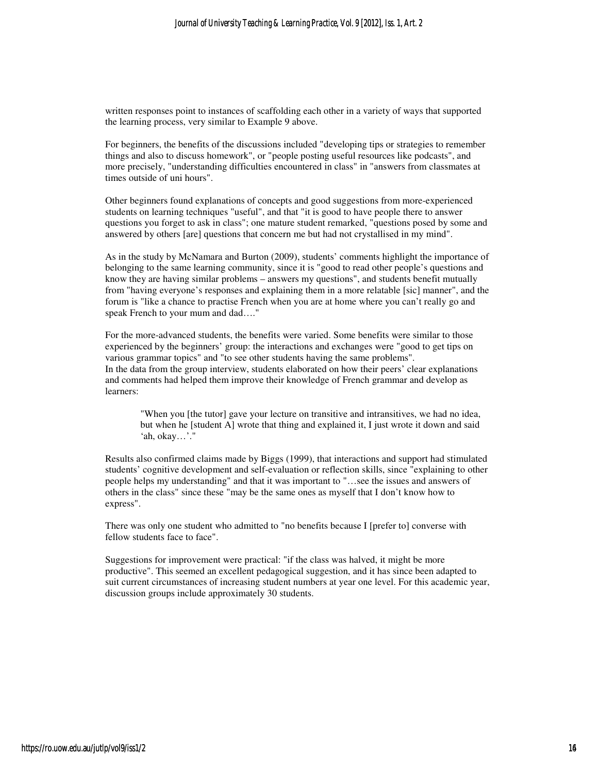written responses point to instances of scaffolding each other in a variety of ways that supported the learning process, very similar to Example 9 above.

For beginners, the benefits of the discussions included "developing tips or strategies to remember things and also to discuss homework", or "people posting useful resources like podcasts", and more precisely, "understanding difficulties encountered in class" in "answers from classmates at times outside of uni hours".

Other beginners found explanations of concepts and good suggestions from more-experienced students on learning techniques "useful", and that "it is good to have people there to answer questions you forget to ask in class"; one mature student remarked, "questions posed by some and answered by others [are] questions that concern me but had not crystallised in my mind".

As in the study by McNamara and Burton (2009), students' comments highlight the importance of belonging to the same learning community, since it is "good to read other people's questions and know they are having similar problems – answers my questions", and students benefit mutually from "having everyone's responses and explaining them in a more relatable [sic] manner", and the forum is "like a chance to practise French when you are at home where you can't really go and speak French to your mum and dad…."

For the more-advanced students, the benefits were varied. Some benefits were similar to those experienced by the beginners' group: the interactions and exchanges were "good to get tips on various grammar topics" and "to see other students having the same problems". In the data from the group interview, students elaborated on how their peers' clear explanations and comments had helped them improve their knowledge of French grammar and develop as learners:

"When you [the tutor] gave your lecture on transitive and intransitives, we had no idea, but when he [student A] wrote that thing and explained it, I just wrote it down and said 'ah, okay…'."

Results also confirmed claims made by Biggs (1999), that interactions and support had stimulated students' cognitive development and self-evaluation or reflection skills, since "explaining to other people helps my understanding" and that it was important to "…see the issues and answers of others in the class" since these "may be the same ones as myself that I don't know how to express".

There was only one student who admitted to "no benefits because I [prefer to] converse with fellow students face to face".

Suggestions for improvement were practical: "if the class was halved, it might be more productive". This seemed an excellent pedagogical suggestion, and it has since been adapted to suit current circumstances of increasing student numbers at year one level. For this academic year, discussion groups include approximately 30 students.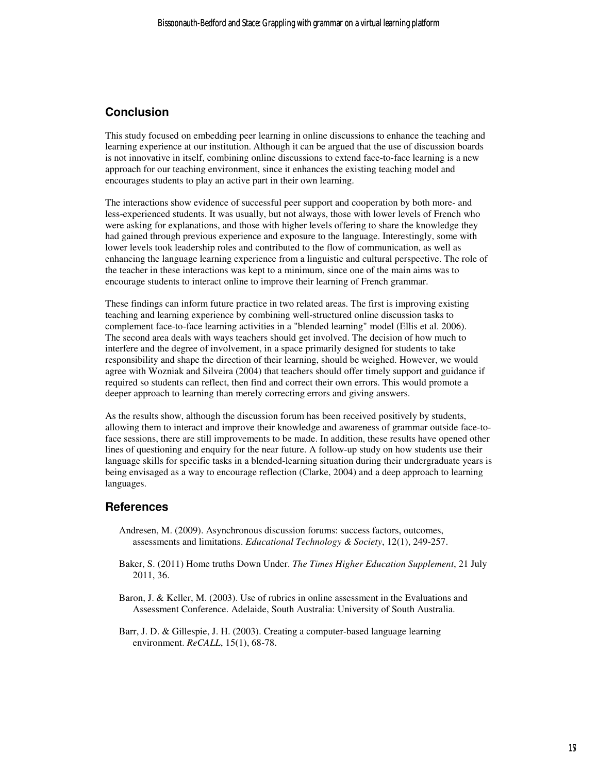# **Conclusion**

This study focused on embedding peer learning in online discussions to enhance the teaching and learning experience at our institution. Although it can be argued that the use of discussion boards is not innovative in itself, combining online discussions to extend face-to-face learning is a new approach for our teaching environment, since it enhances the existing teaching model and encourages students to play an active part in their own learning.

The interactions show evidence of successful peer support and cooperation by both more- and less-experienced students. It was usually, but not always, those with lower levels of French who were asking for explanations, and those with higher levels offering to share the knowledge they had gained through previous experience and exposure to the language. Interestingly, some with lower levels took leadership roles and contributed to the flow of communication, as well as enhancing the language learning experience from a linguistic and cultural perspective. The role of the teacher in these interactions was kept to a minimum, since one of the main aims was to encourage students to interact online to improve their learning of French grammar.

These findings can inform future practice in two related areas. The first is improving existing teaching and learning experience by combining well-structured online discussion tasks to complement face-to-face learning activities in a "blended learning" model (Ellis et al. 2006). The second area deals with ways teachers should get involved. The decision of how much to interfere and the degree of involvement, in a space primarily designed for students to take responsibility and shape the direction of their learning, should be weighed. However, we would agree with Wozniak and Silveira (2004) that teachers should offer timely support and guidance if required so students can reflect, then find and correct their own errors. This would promote a deeper approach to learning than merely correcting errors and giving answers.

As the results show, although the discussion forum has been received positively by students, allowing them to interact and improve their knowledge and awareness of grammar outside face-toface sessions, there are still improvements to be made. In addition, these results have opened other lines of questioning and enquiry for the near future. A follow-up study on how students use their language skills for specific tasks in a blended-learning situation during their undergraduate years is being envisaged as a way to encourage reflection (Clarke, 2004) and a deep approach to learning languages.

# **References**

- Andresen, M. (2009). Asynchronous discussion forums: success factors, outcomes, assessments and limitations. *Educational Technology & Society*, 12(1), 249-257.
- Baker, S. (2011) Home truths Down Under. *The Times Higher Education Supplement*, 21 July 2011, 36.
- Baron, J. & Keller, M. (2003). Use of rubrics in online assessment in the Evaluations and Assessment Conference. Adelaide, South Australia: University of South Australia.
- Barr, J. D. & Gillespie, J. H. (2003). Creating a computer-based language learning environment. *ReCALL*, 15(1), 68-78.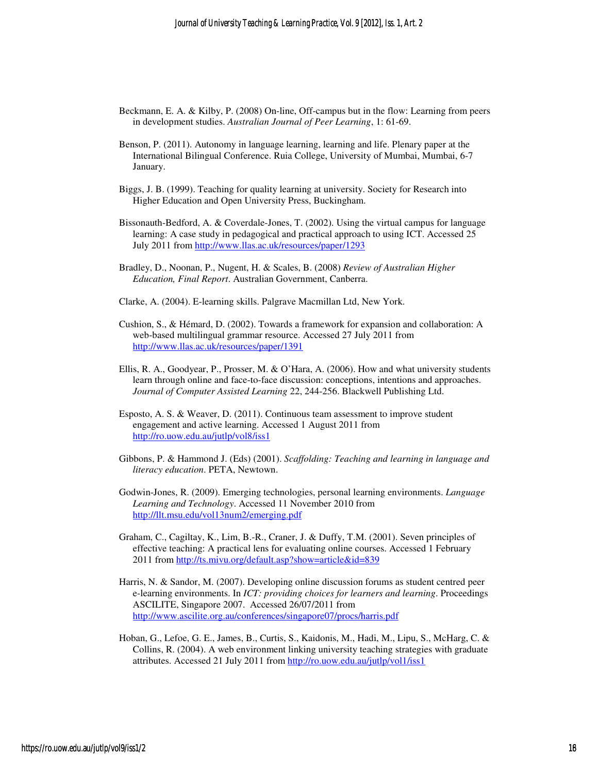- Beckmann, E. A. & Kilby, P. (2008) On-line, Off-campus but in the flow: Learning from peers in development studies. *Australian Journal of Peer Learning*, 1: 61-69.
- Benson, P. (2011). Autonomy in language learning, learning and life. Plenary paper at the International Bilingual Conference. Ruia College, University of Mumbai, Mumbai, 6-7 January.
- Biggs, J. B. (1999). Teaching for quality learning at university. Society for Research into Higher Education and Open University Press, Buckingham.
- Bissonauth-Bedford, A. & Coverdale-Jones, T. (2002). Using the virtual campus for language learning: A case study in pedagogical and practical approach to using ICT. Accessed 25 July 2011 from http://www.llas.ac.uk/resources/paper/1293
- Bradley, D., Noonan, P., Nugent, H. & Scales, B. (2008) *Review of Australian Higher Education, Final Report*. Australian Government, Canberra.
- Clarke, A. (2004). E-learning skills. Palgrave Macmillan Ltd, New York.
- Cushion, S., & Hémard, D. (2002). Towards a framework for expansion and collaboration: A web-based multilingual grammar resource. Accessed 27 July 2011 from http://www.llas.ac.uk/resources/paper/1391
- Ellis, R. A., Goodyear, P., Prosser, M. & O'Hara, A. (2006). How and what university students learn through online and face-to-face discussion: conceptions, intentions and approaches. *Journal of Computer Assisted Learning* 22, 244-256. Blackwell Publishing Ltd.
- Esposto, A. S. & Weaver, D. (2011). Continuous team assessment to improve student engagement and active learning. Accessed 1 August 2011 from http://ro.uow.edu.au/jutlp/vol8/iss1
- Gibbons, P. & Hammond J. (Eds) (2001). *Scaffolding: Teaching and learning in language and literacy education*. PETA, Newtown.
- Godwin-Jones, R. (2009). Emerging technologies, personal learning environments. *Language Learning and Technology*. Accessed 11 November 2010 from http://llt.msu.edu/vol13num2/emerging.pdf
- Graham, C., Cagiltay, K., Lim, B.-R., Craner, J. & Duffy, T.M. (2001). Seven principles of effective teaching: A practical lens for evaluating online courses. Accessed 1 February 2011 from http://ts.mivu.org/default.asp?show=article&id=839
- Harris, N. & Sandor, M. (2007). Developing online discussion forums as student centred peer e-learning environments. In *ICT: providing choices for learners and learning*. Proceedings ASCILITE, Singapore 2007. Accessed 26/07/2011 from http://www.ascilite.org.au/conferences/singapore07/procs/harris.pdf
- Hoban, G., Lefoe, G. E., James, B., Curtis, S., Kaidonis, M., Hadi, M., Lipu, S., McHarg, C. & Collins, R. (2004). A web environment linking university teaching strategies with graduate attributes. Accessed 21 July 2011 from http://ro.uow.edu.au/jutlp/vol1/iss1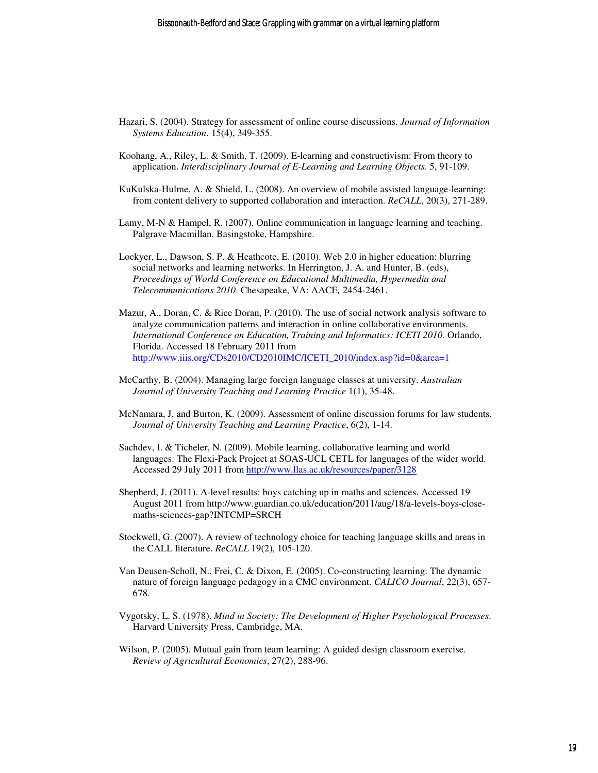- Hazari, S. (2004). Strategy for assessment of online course discussions. *Journal of Information Systems Education*. 15(4), 349-355.
- Koohang, A., Riley, L. & Smith, T. (2009). E-learning and constructivism: From theory to application. *Interdisciplinary Journal of E-Learning and Learning Objects*. 5, 91-109.
- KuKulska-Hulme, A. & Shield, L. (2008). An overview of mobile assisted language-learning: from content delivery to supported collaboration and interaction. *ReCALL*, 20(3), 271-289.
- Lamy, M-N & Hampel, R. (2007). Online communication in language learning and teaching. Palgrave Macmillan. Basingstoke, Hampshire.
- Lockyer, L., Dawson, S. P. & Heathcote, E. (2010). Web 2.0 in higher education: blurring social networks and learning networks. In Herrington, J. A. and Hunter, B. (eds), *Proceedings of World Conference on Educational Multimedia, Hypermedia and Telecommunications 2010*. Chesapeake, VA: AACE*,* 2454-2461.
- Mazur, A., Doran, C. & Rice Doran, P. (2010). The use of social network analysis software to analyze communication patterns and interaction in online collaborative environments. *International Conference on Education, Training and Informatics: ICETI 2010.* Orlando, Florida. Accessed 18 February 2011 from http://www.iiis.org/CDs2010/CD2010IMC/ICETI\_2010/index.asp?id=0&area=1
- McCarthy, B. (2004). Managing large foreign language classes at university. *Australian Journal of University Teaching and Learning Practice* 1(1), 35-48.
- McNamara, J. and Burton, K. (2009). Assessment of online discussion forums for law students. *Journal of University Teaching and Learning Practice*, 6(2), 1-14.
- Sachdev, I. & Ticheler, N. (2009). Mobile learning, collaborative learning and world languages: The Flexi-Pack Project at SOAS-UCL CETL for languages of the wider world. Accessed 29 July 2011 from http://www.llas.ac.uk/resources/paper/3128
- Shepherd, J. (2011). A-level results: boys catching up in maths and sciences. Accessed 19 August 2011 from http://www.guardian.co.uk/education/2011/aug/18/a-levels-boys-closemaths-sciences-gap?INTCMP=SRCH
- Stockwell, G. (2007). A review of technology choice for teaching language skills and areas in the CALL literature. *ReCALL* 19(2), 105-120.
- Van Deusen-Scholl, N., Frei, C. & Dixon, E. (2005). Co-constructing learning: The dynamic nature of foreign language pedagogy in a CMC environment. *CALICO Journal*, 22(3), 657- 678.
- Vygotsky, L. S. (1978). *Mind in Society: The Development of Higher Psychological Processes*. Harvard University Press, Cambridge, MA.
- Wilson, P. (2005). Mutual gain from team learning: A guided design classroom exercise. *Review of Agricultural Economics*, 27(2), 288-96.